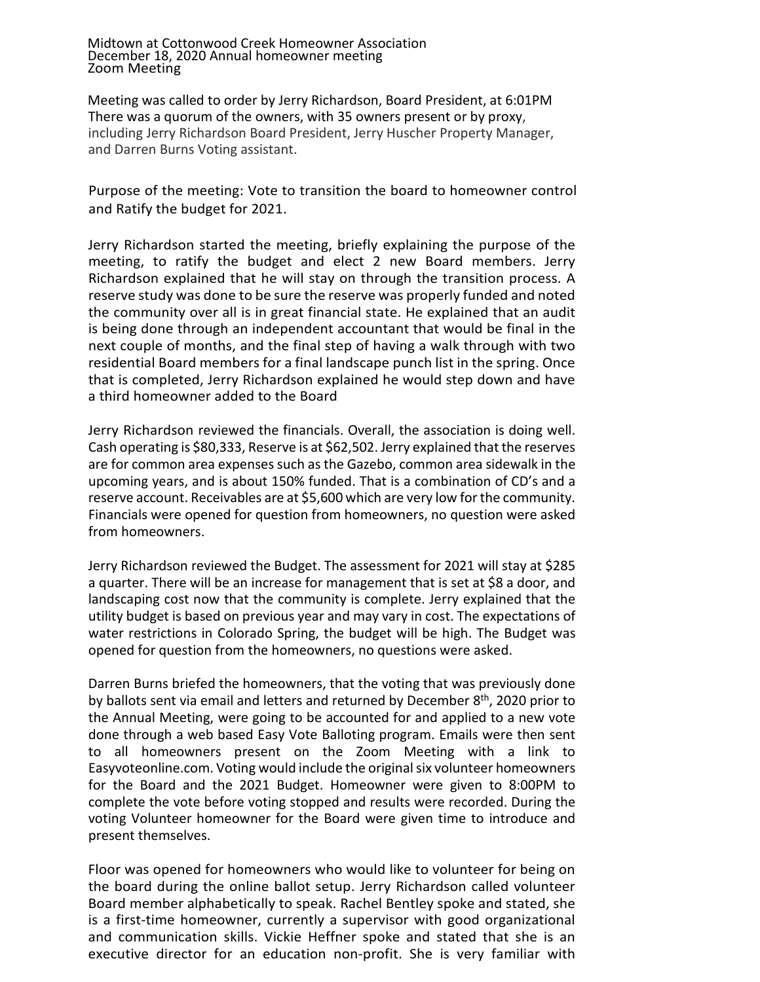Midtown at Cottonwood Creek Homeowner Association December 18, 2020 Annual homeowner meeting Zoom Meeting

Meeting was called to order by Jerry Richardson, Board President, at 6:01PM There was a quorum of the owners, with 35 owners present or by proxy, including Jerry Richardson Board President, Jerry Huscher Property Manager, and Darren Burns Voting assistant.

Purpose of the meeting: Vote to transition the board to homeowner control and Ratify the budget for 2021.

Jerry Richardson started the meeting, briefly explaining the purpose of the meeting, to ratify the budget and elect 2 new Board members. Jerry Richardson explained that he will stay on through the transition process. A reserve study was done to be sure the reserve was properly funded and noted the community over all is in great financial state. He explained that an audit is being done through an independent accountant that would be final in the next couple of months, and the final step of having a walk through with two residential Board members for a final landscape punch list in the spring. Once that is completed, Jerry Richardson explained he would step down and have a third homeowner added to the Board

Jerry Richardson reviewed the financials. Overall, the association is doing well. Cash operating is \$80,333, Reserve is at \$62,502. Jerry explained that the reserves are for common area expenses such as the Gazebo, common area sidewalk in the upcoming years, and is about 150% funded. That is a combination of CD's and a reserve account. Receivables are at \$5,600 which are very low for the community. Financials were opened for question from homeowners, no question were asked from homeowners.

Jerry Richardson reviewed the Budget. The assessment for 2021 will stay at \$285 a quarter. There will be an increase for management that is set at \$8 a door, and landscaping cost now that the community is complete. Jerry explained that the utility budget is based on previous year and may vary in cost. The expectations of water restrictions in Colorado Spring, the budget will be high. The Budget was opened for question from the homeowners, no questions were asked.

Darren Burns briefed the homeowners, that the voting that was previously done by ballots sent via email and letters and returned by December  $8<sup>th</sup>$ , 2020 prior to the Annual Meeting, were going to be accounted for and applied to a new vote done through a web based Easy Vote Balloting program. Emails were then sent to all homeowners present on the Zoom Meeting with a link to Easyvoteonline.com. Voting would include the original six volunteer homeowners for the Board and the 2021 Budget. Homeowner were given to 8:00PM to complete the vote before voting stopped and results were recorded. During the voting Volunteer homeowner for the Board were given time to introduce and present themselves.

Floor was opened for homeowners who would like to volunteer for being on the board during the online ballot setup. Jerry Richardson called volunteer Board member alphabetically to speak. Rachel Bentley spoke and stated, she is a first-time homeowner, currently a supervisor with good organizational and communication skills. Vickie Heffner spoke and stated that she is an executive director for an education non-profit. She is very familiar with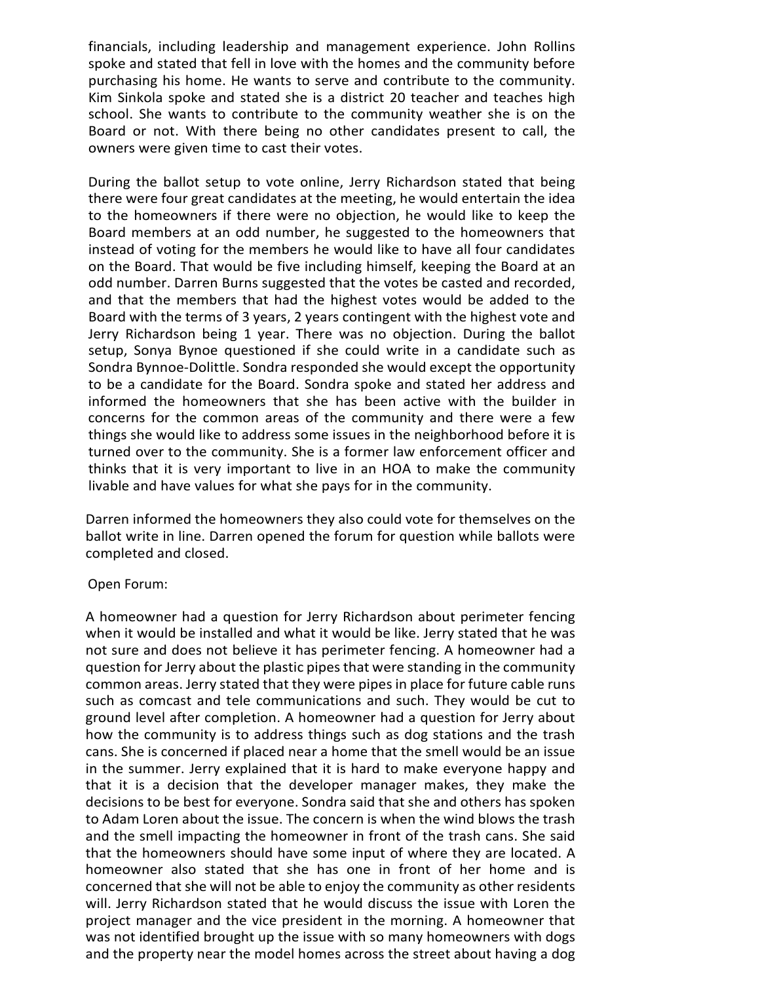financials, including leadership and management experience. John Rollins spoke and stated that fell in love with the homes and the community before purchasing his home. He wants to serve and contribute to the community. Kim Sinkola spoke and stated she is a district 20 teacher and teaches high school. She wants to contribute to the community weather she is on the Board or not. With there being no other candidates present to call, the owners were given time to cast their votes.

During the ballot setup to vote online, Jerry Richardson stated that being there were four great candidates at the meeting, he would entertain the idea to the homeowners if there were no objection, he would like to keep the Board members at an odd number, he suggested to the homeowners that instead of voting for the members he would like to have all four candidates on the Board. That would be five including himself, keeping the Board at an odd number. Darren Burns suggested that the votes be casted and recorded, and that the members that had the highest votes would be added to the Board with the terms of 3 years, 2 years contingent with the highest vote and Jerry Richardson being 1 year. There was no objection. During the ballot setup, Sonya Bynoe questioned if she could write in a candidate such as Sondra Bynnoe-Dolittle. Sondra responded she would except the opportunity to be a candidate for the Board. Sondra spoke and stated her address and informed the homeowners that she has been active with the builder in concerns for the common areas of the community and there were a few things she would like to address some issues in the neighborhood before it is turned over to the community. She is a former law enforcement officer and thinks that it is very important to live in an HOA to make the community livable and have values for what she pays for in the community.

Darren informed the homeowners they also could vote for themselves on the ballot write in line. Darren opened the forum for question while ballots were completed and closed.

## Open Forum:

A homeowner had a question for Jerry Richardson about perimeter fencing when it would be installed and what it would be like. Jerry stated that he was not sure and does not believe it has perimeter fencing. A homeowner had a question for Jerry about the plastic pipes that were standing in the community common areas. Jerry stated that they were pipes in place for future cable runs such as comcast and tele communications and such. They would be cut to ground level after completion. A homeowner had a question for Jerry about how the community is to address things such as dog stations and the trash cans. She is concerned if placed near a home that the smell would be an issue in the summer. Jerry explained that it is hard to make everyone happy and that it is a decision that the developer manager makes, they make the decisions to be best for everyone. Sondra said that she and others has spoken to Adam Loren about the issue. The concern is when the wind blows the trash and the smell impacting the homeowner in front of the trash cans. She said that the homeowners should have some input of where they are located. A homeowner also stated that she has one in front of her home and is concerned that she will not be able to enjoy the community as other residents will. Jerry Richardson stated that he would discuss the issue with Loren the project manager and the vice president in the morning. A homeowner that was not identified brought up the issue with so many homeowners with dogs and the property near the model homes across the street about having a dog